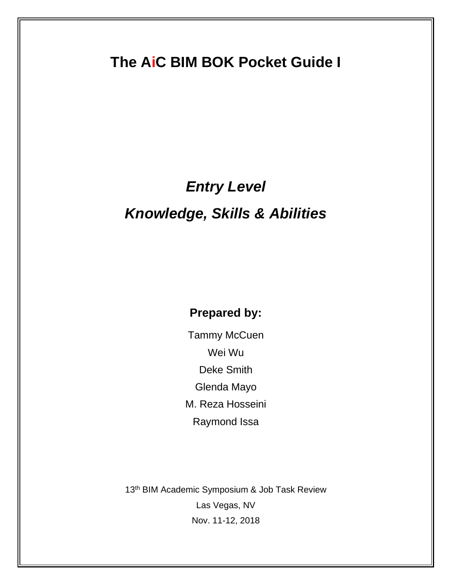# **The AiC BIM BOK Pocket Guide I**

## *Entry Level*

# *Knowledge, Skills & Abilities*

### **Prepared by:**

Tammy McCuen Wei Wu Deke Smith Glenda Mayo M. Reza Hosseini Raymond Issa

13<sup>th</sup> BIM Academic Symposium & Job Task Review Las Vegas, NV Nov. 11-12, 2018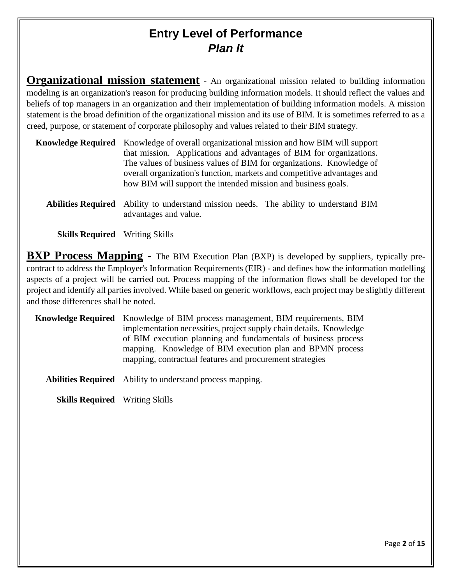### **Entry Level of Performance** *Plan It*

**Organizational mission statement** - An organizational mission related to building information modeling is an organization's reason for producing building information models. It should reflect the values and beliefs of top managers in an organization and their implementation of building information models. A mission statement is the broad definition of the organizational mission and its use of BIM. It is sometimes referred to as a creed, purpose, or statement of corporate philosophy and values related to their BIM strategy.

| <b>Knowledge Required</b> Knowledge of overall organizational mission and how BIM will support |
|------------------------------------------------------------------------------------------------|
| that mission. Applications and advantages of BIM for organizations.                            |
| The values of business values of BIM for organizations. Knowledge of                           |
| overall organization's function, markets and competitive advantages and                        |
| how BIM will support the intended mission and business goals.                                  |
|                                                                                                |

**Abilities Required** Ability to understand mission needs. The ability to understand BIM advantages and value.

**Skills Required** Writing Skills

**BXP Process Mapping -** The BIM Execution Plan (BXP) is developed by suppliers, typically precontract to address the Employer's Information Requirements (EIR) - and defines how the information modelling aspects of a project will be carried out. Process mapping of the information flows shall be developed for the project and identify all parties involved. While based on generic workflows, each project may be slightly different and those differences shall be noted.

**Knowledge Required** Knowledge of BIM process management, BIM requirements, BIM implementation necessities, project supply chain details. Knowledge of BIM execution planning and fundamentals of business process mapping. Knowledge of BIM execution plan and BPMN process mapping, contractual features and procurement strategies

**Abilities Required** Ability to understand process mapping.

**Skills Required** Writing Skills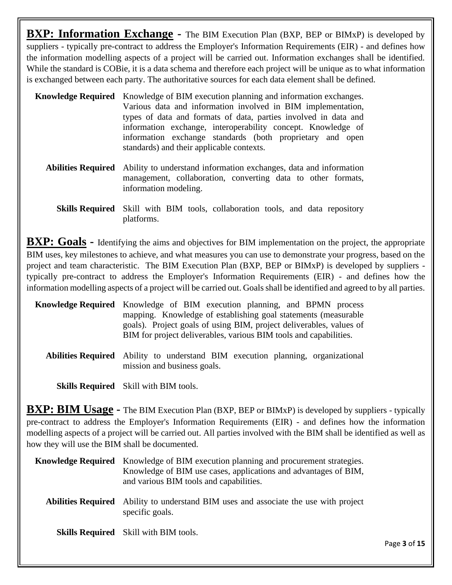**BXP:** Information Exchange - The BIM Execution Plan (BXP, BEP or BIMxP) is developed by suppliers - typically pre-contract to address the Employer's Information Requirements (EIR) - and defines how the information modelling aspects of a project will be carried out. Information exchanges shall be identified. While the standard is COBie, it is a data schema and therefore each project will be unique as to what information is exchanged between each party. The authoritative sources for each data element shall be defined.

- **Knowledge Required** Knowledge of BIM execution planning and information exchanges. Various data and information involved in BIM implementation, types of data and formats of data, parties involved in data and information exchange, interoperability concept. Knowledge of information exchange standards (both proprietary and open standards) and their applicable contexts.
	- **Abilities Required** Ability to understand information exchanges, data and information management, collaboration, converting data to other formats, information modeling.
		- **Skills Required** Skill with BIM tools, collaboration tools, and data repository platforms.

**BXP:** Goals - Identifying the aims and objectives for BIM implementation on the project, the appropriate BIM uses, key milestones to achieve, and what measures you can use to demonstrate your progress, based on the project and team characteristic. The BIM Execution Plan (BXP, BEP or BIMxP) is developed by suppliers typically pre-contract to address the Employer's Information Requirements (EIR) - and defines how the information modelling aspects of a project will be carried out. Goals shall be identified and agreed to by all parties.

| <b>Knowledge Required</b> Knowledge of BIM execution planning, and BPMN process |                                                                   |  |                                                                     |  |  |
|---------------------------------------------------------------------------------|-------------------------------------------------------------------|--|---------------------------------------------------------------------|--|--|
|                                                                                 | mapping. Knowledge of establishing goal statements (measurable    |  |                                                                     |  |  |
|                                                                                 |                                                                   |  | goals). Project goals of using BIM, project deliverables, values of |  |  |
|                                                                                 | BIM for project deliverables, various BIM tools and capabilities. |  |                                                                     |  |  |

**Abilities Required** Ability to understand BIM execution planning, organizational mission and business goals.

**Skills Required** Skill with BIM tools.

**BXP: BIM Usage** - The BIM Execution Plan (BXP, BEP or BIMxP) is developed by suppliers - typically pre-contract to address the Employer's Information Requirements (EIR) - and defines how the information modelling aspects of a project will be carried out. All parties involved with the BIM shall be identified as well as how they will use the BIM shall be documented.

| <b>Knowledge Required</b> | Knowledge of BIM execution planning and procurement strategies.<br>Knowledge of BIM use cases, applications and advantages of BIM,<br>and various BIM tools and capabilities. |
|---------------------------|-------------------------------------------------------------------------------------------------------------------------------------------------------------------------------|
| <b>Abilities Required</b> | Ability to understand BIM uses and associate the use with project<br>specific goals.                                                                                          |
|                           | <b>Skills Required</b> Skill with BIM tools.                                                                                                                                  |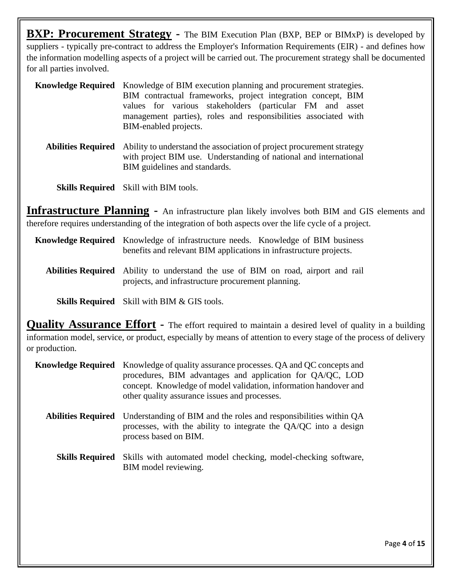**BXP: Procurement Strategy** - The BIM Execution Plan (BXP, BEP or BIMxP) is developed by suppliers - typically pre-contract to address the Employer's Information Requirements (EIR) - and defines how the information modelling aspects of a project will be carried out. The procurement strategy shall be documented for all parties involved.

- **Knowledge Required** Knowledge of BIM execution planning and procurement strategies. BIM contractual frameworks, project integration concept, BIM values for various stakeholders (particular FM and asset management parties), roles and responsibilities associated with BIM-enabled projects.
	- **Abilities Required** Ability to understand the association of project procurement strategy with project BIM use. Understanding of national and international BIM guidelines and standards.

**Skills Required** Skill with BIM tools.

**Infrastructure Planning -** An infrastructure plan likely involves both BIM and GIS elements and therefore requires understanding of the integration of both aspects over the life cycle of a project.

#### **Knowledge Required** Knowledge of infrastructure needs. Knowledge of BIM business benefits and relevant BIM applications in infrastructure projects.

**Abilities Required** Ability to understand the use of BIM on road, airport and rail projects, and infrastructure procurement planning.

**Skills Required** Skill with BIM & GIS tools.

**Quality Assurance Effort -** The effort required to maintain a desired level of quality in a building information model, service, or product, especially by means of attention to every stage of the process of delivery or production.

| Knowledge Required        | Knowledge of quality assurance processes. QA and QC concepts and<br>procedures, BIM advantages and application for QA/QC, LOD<br>concept. Knowledge of model validation, information handover and<br>other quality assurance issues and processes. |
|---------------------------|----------------------------------------------------------------------------------------------------------------------------------------------------------------------------------------------------------------------------------------------------|
| <b>Abilities Required</b> | Understanding of BIM and the roles and responsibilities within QA<br>processes, with the ability to integrate the QA/QC into a design<br>process based on BIM.                                                                                     |
|                           | <b>Skills Required</b> Skills with automated model checking, model-checking software,<br>BIM model reviewing.                                                                                                                                      |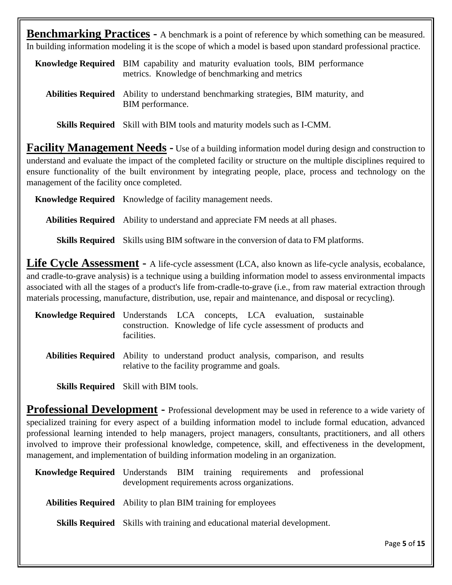**Benchmarking Practices -** A benchmark is a point of reference by which something can be measured. In building information modeling it is the scope of which a model is based upon standard professional practice.

**Knowledge Required** BIM capability and maturity evaluation tools, BIM performance metrics. Knowledge of benchmarking and metrics

**Abilities Required** Ability to understand benchmarking strategies, BIM maturity, and BIM performance.

**Skills Required** Skill with BIM tools and maturity models such as I-CMM.

**Facility Management Needs -** Use of a building information model during design and construction to understand and evaluate the impact of the completed facility or structure on the multiple disciplines required to ensure functionality of the built environment by integrating people, place, process and technology on the management of the facility once completed.

**Knowledge Required** Knowledge of facility management needs.

**Abilities Required** Ability to understand and appreciate FM needs at all phases.

**Skills Required** Skills using BIM software in the conversion of data to FM platforms.

**Life Cycle Assessment -** A life-cycle assessment (LCA, also known as life-cycle analysis, ecobalance, and cradle-to-grave analysis) is a technique using a building information model to assess environmental impacts associated with all the stages of a product's life from-cradle-to-grave (i.e., from raw material extraction through materials processing, manufacture, distribution, use, repair and maintenance, and disposal or recycling).

| <b>Knowledge Required</b> Understands LCA concepts, LCA evaluation, sustainable |                                                                  |  |  |  |
|---------------------------------------------------------------------------------|------------------------------------------------------------------|--|--|--|
|                                                                                 | construction. Knowledge of life cycle assessment of products and |  |  |  |
|                                                                                 | facilities.                                                      |  |  |  |

**Abilities Required** Ability to understand product analysis, comparison, and results relative to the facility programme and goals.

**Skills Required** Skill with BIM tools.

**Professional Development -** Professional development may be used in reference to a wide variety of specialized training for every aspect of a building information model to include formal education, advanced professional learning intended to help managers, project managers, consultants, practitioners, and all others involved to improve their professional knowledge, competence, skill, and effectiveness in the development, management, and implementation of building information modeling in an organization.

**Knowledge Required** Understands BIM training requirements and professional development requirements across organizations.

**Abilities Required** Ability to plan BIM training for employees

**Skills Required** Skills with training and educational material development.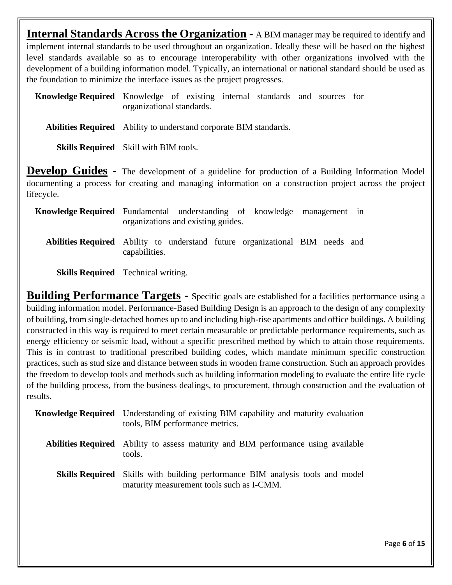**Internal Standards Across the Organization -** A BIM manager may be required to identify and implement internal standards to be used throughout an organization. Ideally these will be based on the highest level standards available so as to encourage interoperability with other organizations involved with the development of a building information model. Typically, an international or national standard should be used as the foundation to minimize the interface issues as the project progresses.

**Knowledge Required** Knowledge of existing internal standards and sources for organizational standards.

**Abilities Required** Ability to understand corporate BIM standards.

**Skills Required** Skill with BIM tools.

**Develop Guides -** The development of a guideline for production of a Building Information Model documenting a process for creating and managing information on a construction project across the project lifecycle.

| <b>Knowledge Required</b> Fundamental understanding of knowledge management in      | organizations and existing guides. |  |  |  |
|-------------------------------------------------------------------------------------|------------------------------------|--|--|--|
| <b>Abilities Required</b> Ability to understand future organizational BIM needs and | capabilities.                      |  |  |  |

**Skills Required** Technical writing.

**Building Performance Targets -** Specific goals are established for a facilities performance using a building information model. Performance-Based Building Design is an approach to the design of any complexity of building, from single-detached homes up to and including high-rise apartments and office buildings. A building constructed in this way is required to meet certain measurable or predictable performance requirements, such as energy efficiency or seismic load, without a specific prescribed method by which to attain those requirements. This is in contrast to traditional prescribed building codes, which mandate minimum specific construction practices, such as stud size and distance between studs in wooden frame construction. Such an approach provides the freedom to develop tools and methods such as building information modeling to evaluate the entire life cycle of the building process, from the business dealings, to procurement, through construction and the evaluation of results.

| <b>Knowledge Required</b> Understanding of existing BIM capability and maturity evaluation<br>tools, BIM performance metrics.     |
|-----------------------------------------------------------------------------------------------------------------------------------|
| <b>Abilities Required</b> Ability to assess maturity and BIM performance using available<br>tools.                                |
| <b>Skills Required</b> Skills with building performance BIM analysis tools and model<br>maturity measurement tools such as I-CMM. |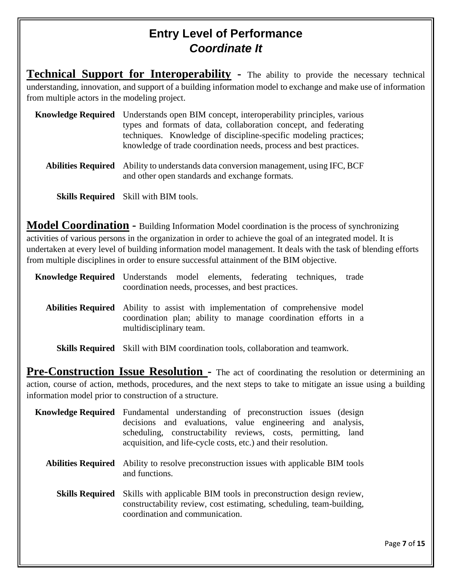#### **Entry Level of Performance** *Coordinate It*

**Technical Support for Interoperability** - The ability to provide the necessary technical understanding, innovation, and support of a building information model to exchange and make use of information from multiple actors in the modeling project.

| <b>Knowledge Required</b> Understands open BIM concept, interoperability principles, various |
|----------------------------------------------------------------------------------------------|
| types and formats of data, collaboration concept, and federating                             |
| techniques. Knowledge of discipline-specific modeling practices;                             |
| knowledge of trade coordination needs, process and best practices.                           |
|                                                                                              |

**Abilities Required** Ability to understands data conversion management, using IFC, BCF and other open standards and exchange formats.

**Skills Required** Skill with BIM tools.

**Model Coordination -** Building Information Model coordination is the process of synchronizing activities of various persons in the organization in order to achieve the goal of an integrated model. It is undertaken at every level of building information model management. It deals with the task of blending efforts from multiple disciplines in order to ensure successful attainment of the BIM objective.

**Knowledge Required** Understands model elements, federating techniques, trade coordination needs, processes, and best practices.

**Abilities Required** Ability to assist with implementation of comprehensive model coordination plan; ability to manage coordination efforts in a multidisciplinary team.

**Skills Required** Skill with BIM coordination tools, collaboration and teamwork.

**Pre-Construction Issue Resolution -** The act of coordinating the resolution or determining an action, course of action, methods, procedures, and the next steps to take to mitigate an issue using a building information model prior to construction of a structure.

| Knowledge Required     | Fundamental understanding of preconstruction issues (design<br>decisions and evaluations, value engineering and analysis,<br>scheduling, constructability reviews, costs, permitting, land<br>acquisition, and life-cycle costs, etc.) and their resolution. |
|------------------------|--------------------------------------------------------------------------------------------------------------------------------------------------------------------------------------------------------------------------------------------------------------|
|                        | <b>Abilities Required</b> Ability to resolve preconstruction issues with applicable BIM tools<br>and functions.                                                                                                                                              |
| <b>Skills Required</b> | Skills with applicable BIM tools in preconstruction design review,<br>constructability review, cost estimating, scheduling, team-building,<br>coordination and communication.                                                                                |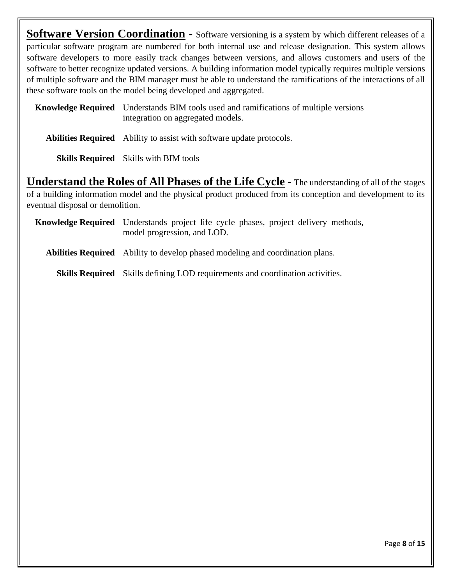**Software Version Coordination** - Software versioning is a system by which different releases of a particular software program are numbered for both internal use and release designation. This system allows software developers to more easily track changes between versions, and allows customers and users of the software to better recognize updated versions. A building information model typically requires multiple versions of multiple software and the BIM manager must be able to understand the ramifications of the interactions of all these software tools on the model being developed and aggregated.

**Knowledge Required** Understands BIM tools used and ramifications of multiple versions integration on aggregated models.

**Abilities Required** Ability to assist with software update protocols.

**Skills Required** Skills with BIM tools

**Understand the Roles of All Phases of the Life Cycle -** The understanding of all of the stages of a building information model and the physical product produced from its conception and development to its eventual disposal or demolition.

**Knowledge Required** Understands project life cycle phases, project delivery methods, model progression, and LOD.

**Abilities Required** Ability to develop phased modeling and coordination plans.

**Skills Required** Skills defining LOD requirements and coordination activities.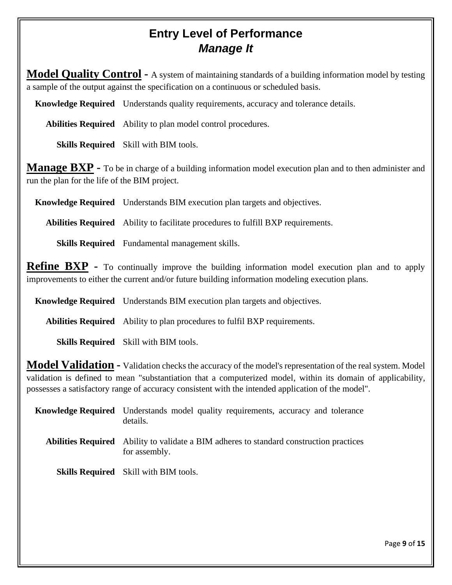#### **Entry Level of Performance** *Manage It*

**Model Quality Control -** A system of maintaining standards of a building information model by testing a sample of the output against the specification on a continuous or scheduled basis.

**Knowledge Required** Understands quality requirements, accuracy and tolerance details.

**Abilities Required** Ability to plan model control procedures.

**Skills Required** Skill with BIM tools.

**Manage BXP -** To be in charge of a building information model execution plan and to then administer and run the plan for the life of the BIM project.

**Knowledge Required** Understands BIM execution plan targets and objectives.

**Abilities Required** Ability to facilitate procedures to fulfill BXP requirements.

**Skills Required** Fundamental management skills.

**Refine BXP -** To continually improve the building information model execution plan and to apply improvements to either the current and/or future building information modeling execution plans.

**Knowledge Required** Understands BIM execution plan targets and objectives.

**Abilities Required** Ability to plan procedures to fulfil BXP requirements.

**Skills Required** Skill with BIM tools.

**Model Validation -** Validation checks the accuracy of the model's representation of the real system. Model validation is defined to mean "substantiation that a computerized model, within its domain of applicability, possesses a satisfactory range of accuracy consistent with the intended application of the model".

| <b>Knowledge Required</b> Understands model quality requirements, accuracy and tolerance<br>details.            |
|-----------------------------------------------------------------------------------------------------------------|
| <b>Abilities Required</b> Ability to validate a BIM adheres to standard construction practices<br>for assembly. |
| <b>Skills Required</b> Skill with BIM tools.                                                                    |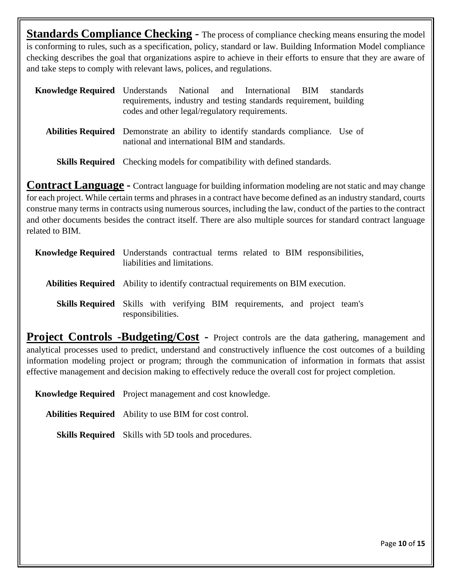**Standards Compliance Checking -** The process of compliance checking means ensuring the model is conforming to rules, such as a specification, policy, standard or law. Building Information Model compliance checking describes the goal that organizations aspire to achieve in their efforts to ensure that they are aware of and take steps to comply with relevant laws, polices, and regulations.

| <b>Knowledge Required</b> Understands National and International BIM standards            | codes and other legal/regulatory requirements. |  | requirements, industry and testing standards requirement, building |  |
|-------------------------------------------------------------------------------------------|------------------------------------------------|--|--------------------------------------------------------------------|--|
| <b>Abilities Required</b> Demonstrate an ability to identify standards compliance. Use of | national and international BIM and standards.  |  |                                                                    |  |

**Skills Required** Checking models for compatibility with defined standards.

**Contract Language -** Contract language for building information modeling are not static and may change for each project. While certain terms and phrases in a contract have become defined as an industry standard, courts construe many terms in contracts using numerous sources, including the law, conduct of the parties to the contract and other documents besides the contract itself. There are also multiple sources for standard contract language related to BIM.

| <b>Knowledge Required</b> Understands contractual terms related to BIM responsibilities,<br>liabilities and limitations. |
|--------------------------------------------------------------------------------------------------------------------------|
| <b>Abilities Required</b> Ability to identify contractual requirements on BIM execution.                                 |
| <b>Skills Required</b> Skills with verifying BIM requirements, and project team's<br>responsibilities.                   |

**Project Controls -Budgeting/Cost** - Project controls are the data gathering, management and analytical processes used to predict, understand and constructively influence the cost outcomes of a building information modeling project or program; through the communication of information in formats that assist effective management and decision making to effectively reduce the overall cost for project completion.

**Knowledge Required** Project management and cost knowledge.

**Abilities Required** Ability to use BIM for cost control.

**Skills Required** Skills with 5D tools and procedures.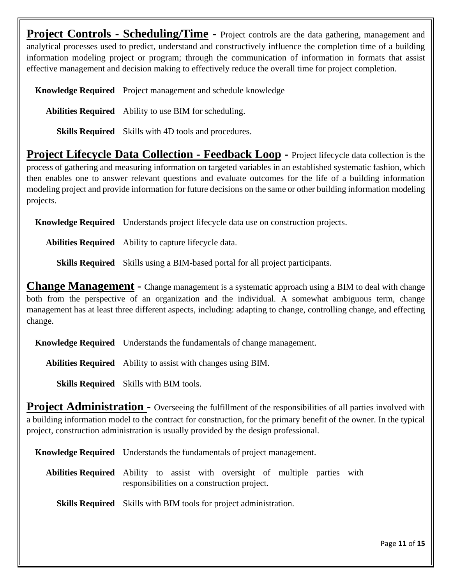**Project Controls - Scheduling/Time -** Project controls are the data gathering, management and analytical processes used to predict, understand and constructively influence the completion time of a building information modeling project or program; through the communication of information in formats that assist effective management and decision making to effectively reduce the overall time for project completion.

**Knowledge Required** Project management and schedule knowledge

**Abilities Required** Ability to use BIM for scheduling.

**Skills Required** Skills with 4D tools and procedures.

**Project Lifecycle Data Collection - Feedback Loop -** Project lifecycle data collection is the process of gathering and measuring information on targeted variables in an established systematic fashion, which then enables one to answer relevant questions and evaluate outcomes for the life of a building information modeling project and provide information for future decisions on the same or other building information modeling projects.

**Knowledge Required** Understands project lifecycle data use on construction projects.

**Abilities Required** Ability to capture lifecycle data.

**Skills Required** Skills using a BIM-based portal for all project participants.

**Change Management -** Change management is a systematic approach using a BIM to deal with change both from the perspective of an organization and the individual. A somewhat ambiguous term, change management has at least three different aspects, including: adapting to change, controlling change, and effecting change.

**Knowledge Required** Understands the fundamentals of change management.

**Abilities Required** Ability to assist with changes using BIM.

**Skills Required** Skills with BIM tools.

**Project Administration -** Overseeing the fulfillment of the responsibilities of all parties involved with a building information model to the contract for construction, for the primary benefit of the owner. In the typical project, construction administration is usually provided by the design professional.

**Knowledge Required** Understands the fundamentals of project management.

**Abilities Required** Ability to assist with oversight of multiple parties with responsibilities on a construction project.

**Skills Required** Skills with BIM tools for project administration.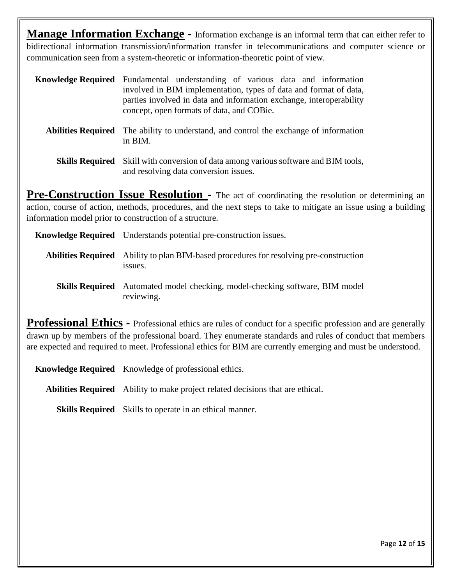**Manage Information Exchange -** Information exchange is an informal term that can either refer to bidirectional information transmission/information transfer in telecommunications and computer science or communication seen from a system-theoretic or information-theoretic point of view.

| <b>Knowledge Required</b> Fundamental understanding of various data and information |                                                                     |                                                                   |  |  |  |  |
|-------------------------------------------------------------------------------------|---------------------------------------------------------------------|-------------------------------------------------------------------|--|--|--|--|
|                                                                                     |                                                                     | involved in BIM implementation, types of data and format of data, |  |  |  |  |
|                                                                                     | parties involved in data and information exchange, interoperability |                                                                   |  |  |  |  |
|                                                                                     |                                                                     | concept, open formats of data, and COBie.                         |  |  |  |  |

**Abilities Required** The ability to understand, and control the exchange of information in BIM.

**Pre-Construction Issue Resolution** - The act of coordinating the resolution or determining an action, course of action, methods, procedures, and the next steps to take to mitigate an issue using a building information model prior to construction of a structure.

**Knowledge Required** Understands potential pre-construction issues.

- **Abilities Required** Ability to plan BIM-based procedures for resolving pre-construction issues.
	- **Skills Required** Automated model checking, model-checking software, BIM model reviewing.

**Professional Ethics -** Professional ethics are rules of conduct for a specific profession and are generally drawn up by members of the professional board. They enumerate standards and rules of conduct that members are expected and required to meet. Professional ethics for BIM are currently emerging and must be understood.

**Knowledge Required** Knowledge of professional ethics.

**Abilities Required** Ability to make project related decisions that are ethical.

**Skills Required** Skills to operate in an ethical manner.

**Skills Required** Skill with conversion of data among various software and BIM tools, and resolving data conversion issues.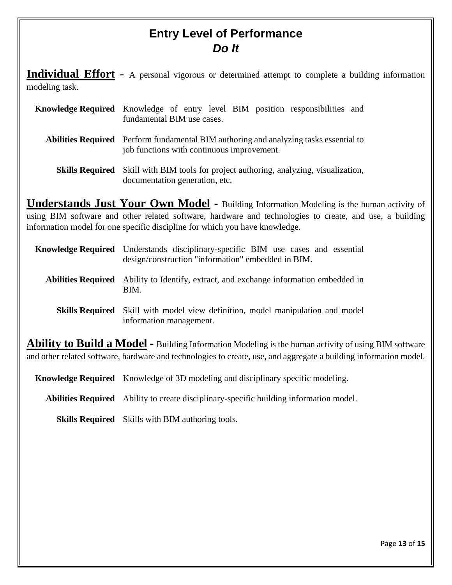#### **Entry Level of Performance** *Do It*

**Individual Effort -** A personal vigorous or determined attempt to complete a building information modeling task.

| Knowledge Required Knowledge of entry level BIM position responsibilities and<br>fundamental BIM use cases.                                |
|--------------------------------------------------------------------------------------------------------------------------------------------|
| <b>Abilities Required</b> Perform fundamental BIM authoring and analyzing tasks essential to<br>job functions with continuous improvement. |
| <b>Skills Required</b> Skill with BIM tools for project authoring, analyzing, visualization,                                               |

documentation generation, etc.

**Understands Just Your Own Model -** Building Information Modeling is the human activity of using BIM software and other related software, hardware and technologies to create, and use, a building information model for one specific discipline for which you have knowledge.

| <b>Knowledge Required</b> Understands disciplinary-specific BIM use cases and essential<br>design/construction "information" embedded in BIM. |
|-----------------------------------------------------------------------------------------------------------------------------------------------|
| <b>Abilities Required</b> Ability to Identify, extract, and exchange information embedded in<br>BIM.                                          |
|                                                                                                                                               |

**Skills Required** Skill with model view definition, model manipulation and model information management.

**Ability to Build a Model -** Building Information Modeling is the human activity of using BIM software and other related software, hardware and technologies to create, use, and aggregate a building information model.

**Knowledge Required** Knowledge of 3D modeling and disciplinary specific modeling.

**Abilities Required** Ability to create disciplinary-specific building information model.

**Skills Required** Skills with BIM authoring tools.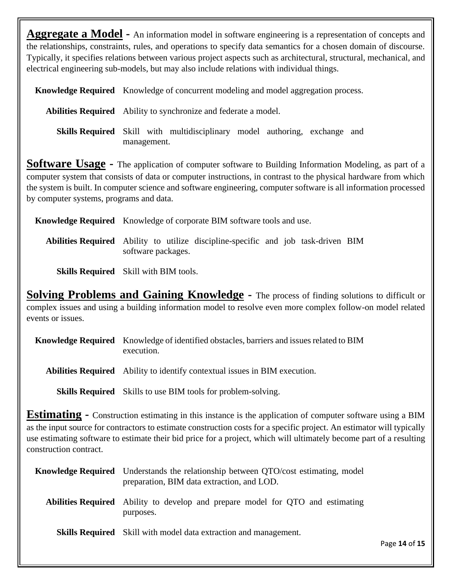**Aggregate a Model -** An information model in software engineering is a representation of concepts and the relationships, constraints, rules, and operations to specify data semantics for a chosen domain of discourse. Typically, it specifies relations between various project aspects such as architectural, structural, mechanical, and electrical engineering sub-models, but may also include relations with individual things.

**Knowledge Required** Knowledge of concurrent modeling and model aggregation process.

**Abilities Required** Ability to synchronize and federate a model.

**Skills Required** Skill with multidisciplinary model authoring, exchange and management.

**Software Usage -** The application of computer software to Building Information Modeling, as part of a computer system that consists of data or computer instructions, in contrast to the physical hardware from which the system is built. In computer science and software engineering, computer software is all information processed by computer systems, programs and data.

**Knowledge Required** Knowledge of corporate BIM software tools and use.

**Abilities Required** Ability to utilize discipline-specific and job task-driven BIM software packages.

**Skills Required** Skill with BIM tools.

**Solving Problems and Gaining Knowledge -** The process of finding solutions to difficult or complex issues and using a building information model to resolve even more complex follow-on model related events or issues.

| <b>Knowledge Required</b> Knowledge of identified obstacles, barriers and issues related to BIM |
|-------------------------------------------------------------------------------------------------|
| execution.                                                                                      |

**Abilities Required** Ability to identify contextual issues in BIM execution.

**Skills Required** Skills to use BIM tools for problem-solving.

**Estimating -** Construction estimating in this instance is the application of computer software using a BIM as the input source for contractors to estimate construction costs for a specific project. An estimator will typically use estimating software to estimate their bid price for a project, which will ultimately become part of a resulting construction contract.

| <b>Knowledge Required</b> Understands the relationship between QTO/cost estimating, model<br>preparation, BIM data extraction, and LOD. |               |
|-----------------------------------------------------------------------------------------------------------------------------------------|---------------|
| Abilities Required Ability to develop and prepare model for QTO and estimating<br>purposes.                                             |               |
| <b>Skills Required</b> Skill with model data extraction and management.                                                                 | Page 14 of 15 |